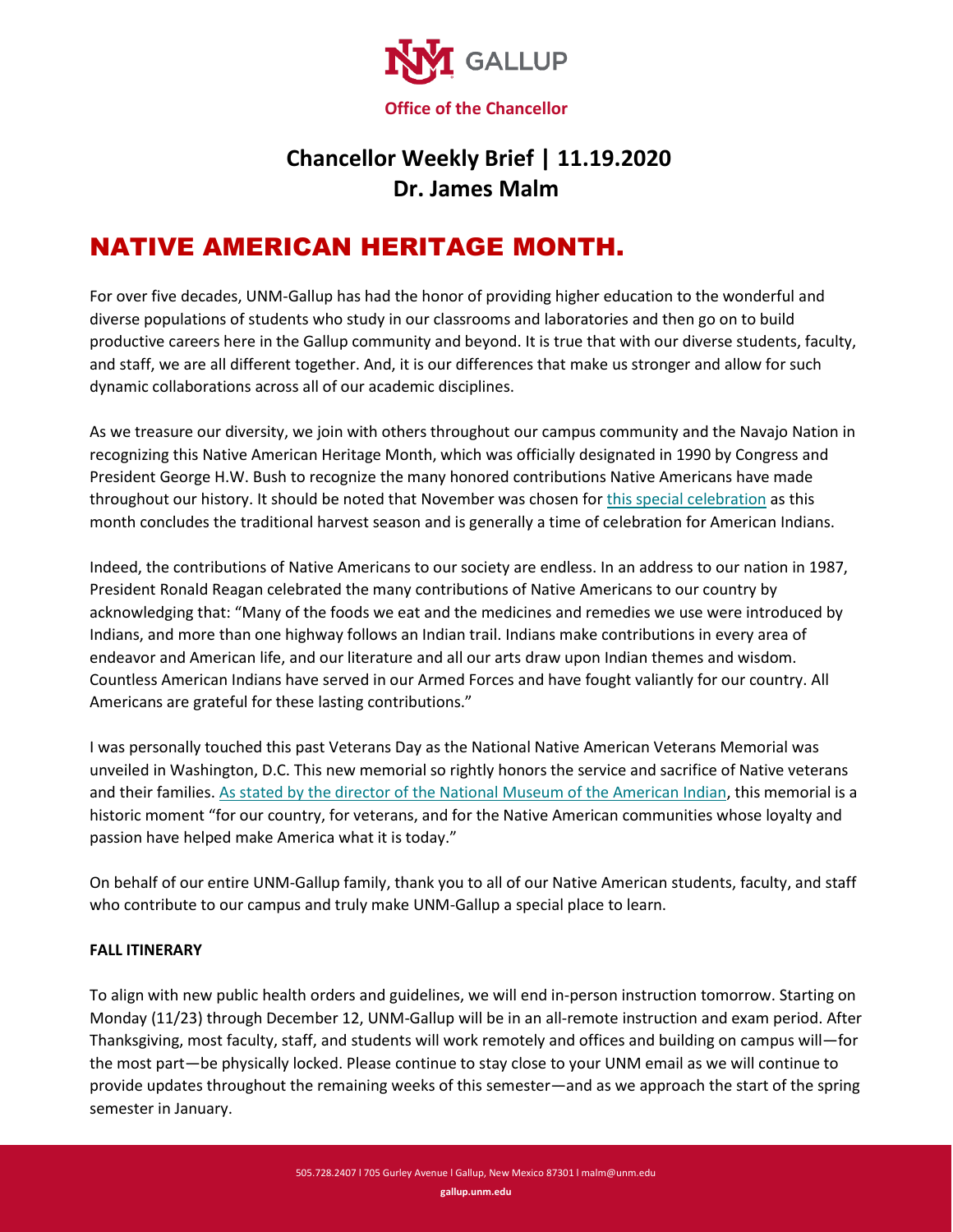

## **Chancellor Weekly Brief | 11.19.2020 Dr. James Malm**

## NATIVE AMERICAN HERITAGE MONTH.

For over five decades, UNM-Gallup has had the honor of providing higher education to the wonderful and diverse populations of students who study in our classrooms and laboratories and then go on to build productive careers here in the Gallup community and beyond. It is true that with our diverse students, faculty, and staff, we are all different together. And, it is our differences that make us stronger and allow for such dynamic collaborations across all of our academic disciplines.

As we treasure our diversity, we join with others throughout our campus community and the Navajo Nation in recognizing this Native American Heritage Month, which was officially designated in 1990 by Congress and President George H.W. Bush to recognize the many honored contributions Native Americans have made throughout our history. It should be noted that November was chosen fo[r this special celebration](http://www.loc.gov/law/help/commemorative-observations/american-indian.php) as this month concludes the traditional harvest season and is generally a time of celebration for American Indians.

Indeed, the contributions of Native Americans to our society are endless. In an address to our nation in 1987, President Ronald Reagan celebrated the many contributions of Native Americans to our country by acknowledging that: "Many of the foods we eat and the medicines and remedies we use were introduced by Indians, and more than one highway follows an Indian trail. Indians make contributions in every area of endeavor and American life, and our literature and all our arts draw upon Indian themes and wisdom. Countless American Indians have served in our Armed Forces and have fought valiantly for our country. All Americans are grateful for these lasting contributions."

I was personally touched this past Veterans Day as the National Native American Veterans Memorial was unveiled in Washington, D.C. This new memorial so rightly honors the service and sacrifice of Native veterans and their families[. As stated by the director of the National Museum of the American Indian,](http://www.americanindian.si.edu/visit/washington/nnavm) this memorial is a historic moment "for our country, for veterans, and for the Native American communities whose loyalty and passion have helped make America what it is today."

On behalf of our entire UNM-Gallup family, thank you to all of our Native American students, faculty, and staff who contribute to our campus and truly make UNM-Gallup a special place to learn.

## **FALL ITINERARY**

To align with new public health orders and guidelines, we will end in-person instruction tomorrow. Starting on Monday (11/23) through December 12, UNM-Gallup will be in an all-remote instruction and exam period. After Thanksgiving, most faculty, staff, and students will work remotely and offices and building on campus will—for the most part—be physically locked. Please continue to stay close to your UNM email as we will continue to provide updates throughout the remaining weeks of this semester—and as we approach the start of the spring semester in January.